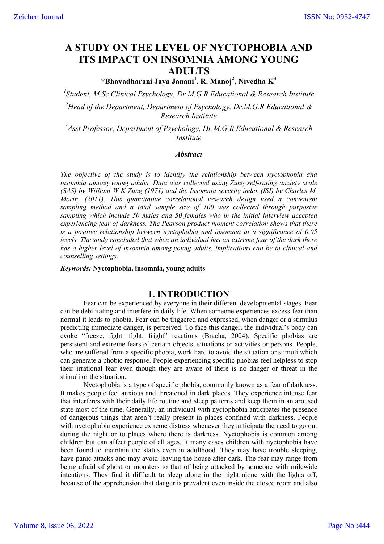# **A STUDY ON THE LEVEL OF NYCTOPHOBIA AND ITS IMPACT ON INSOMNIA AMONG YOUNG ADULTS**

**\*Bhavadharani Jaya Janani1 , R. Manoj<sup>2</sup> , Nivedha K3**

*1 Student, M.Sc Clinical Psychology, Dr.M.G.R Educational & Research Institute 2 Head of the Department, Department of Psychology, Dr.M.G.R Educational & Research Institute*

*3 Asst Professor, Department of Psychology, Dr.M.G.R Educational & Research Institute*

#### *Abstract*

*The objective of the study is to identify the relationship between nyctophobia and insomnia among young adults. Data was collected using Zung self-rating anxiety scale (SAS) by William W K Zung (1971) and the Insomnia severity index (ISI) by Charles M. Morin. (2011). This quantitative correlational research design used a convenient sampling method and a total sample size of 100 was collected through purposive sampling which include 50 males and 50 females who in the initial interview accepted experiencing fear of darkness. The Pearson product-moment correlation shows that there is a positive relationship between nyctophobia and insomnia at a significance of 0.05 levels. The study concluded that when an individual has an extreme fear of the dark there has a higher level of insomnia among young adults. Implications can be in clinical and counselling settings.*

*Keywords:* **Nyctophobia, insomnia, young adults**

### **1. INTRODUCTION**

Fear can be experienced by everyone in their different developmental stages. Fear can be debilitating and interfere in daily life. When someone experiences excess fear than normal it leads to phobia. Fear can be triggered and expressed, when danger or a stimulus predicting immediate danger, is perceived. To face this danger, the individual's body can evoke "freeze, fight, fight, fright" reactions (Bracha, 2004). Specific phobias are persistent and extreme fears of certain objects, situations or activities or persons. People, who are suffered from a specific phobia, work hard to avoid the situation or stimuli which can generate a phobic response. People experiencing specific phobias feel helpless to stop their irrational fear even though they are aware of there is no danger or threat in the stimuli or the situation.

 Nyctophobia is a type of specific phobia, commonly known as a fear of darkness. It makes people feel anxious and threatened in dark places. They experience intense fear that interferes with their daily life routine and sleep patterns and keep them in an aroused state most of the time. Generally, an individual with nyctophobia anticipates the presence of dangerous things that aren't really present in places confined with darkness. People with nyctophobia experience extreme distress whenever they anticipate the need to go out during the night or to places where there is darkness. Nyctophobia is common among children but can affect people of all ages. It many cases children with nyctophobia have been found to maintain the status even in adulthood. They may have trouble sleeping, have panic attacks and may avoid leaving the house after dark. The fear may range from being afraid of ghost or monsters to that of being attacked by someone with milewide intentions. They find it difficult to sleep alone in the night alone with the lights off, because of the apprehension that danger is prevalent even inside the closed room and also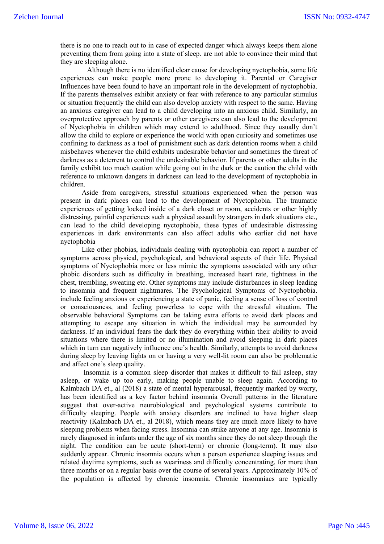there is no one to reach out to in case of expected danger which always keeps them alone preventing them from going into a state of sleep. are not able to convince their mind that they are sleeping alone.

 Although there is no identified clear cause for developing nyctophobia, some life experiences can make people more prone to developing it. Parental or Caregiver Influences have been found to have an important role in the development of nyctophobia. If the parents themselves exhibit anxiety or fear with reference to any particular stimulus or situation frequently the child can also develop anxiety with respect to the same. Having an anxious caregiver can lead to a child developing into an anxious child. Similarly, an overprotective approach by parents or other caregivers can also lead to the development of Nyctophobia in children which may extend to adulthood. Since they usually don't allow the child to explore or experience the world with open curiosity and sometimes use confining to darkness as a tool of punishment such as dark detention rooms when a child misbehaves whenever the child exhibits undesirable behavior and sometimes the threat of darkness as a deterrent to control the undesirable behavior. If parents or other adults in the family exhibit too much caution while going out in the dark or the caution the child with reference to unknown dangers in darkness can lead to the development of nyctophobia in children.

 Aside from caregivers, stressful situations experienced when the person was present in dark places can lead to the development of Nyctophobia. The traumatic experiences of getting locked inside of a dark closet or room, accidents or other highly distressing, painful experiences such a physical assault by strangers in dark situations etc., can lead to the child developing nyctophobia, these types of undesirable distressing experiences in dark environments can also affect adults who earlier did not have nyctophobia

 Like other phobias, individuals dealing with nyctophobia can report a number of symptoms across physical, psychological, and behavioral aspects of their life. Physical symptoms of Nyctophobia more or less mimic the symptoms associated with any other phobic disorders such as difficulty in breathing, increased heart rate, tightness in the chest, trembling, sweating etc. Other symptoms may include disturbances in sleep leading to insomnia and frequent nightmares. The Psychological Symptoms of Nyctophobia. include feeling anxious or experiencing a state of panic, feeling a sense of loss of control or consciousness, and feeling powerless to cope with the stressful situation. The observable behavioral Symptoms can be taking extra efforts to avoid dark places and attempting to escape any situation in which the individual may be surrounded by darkness. If an individual fears the dark they do everything within their ability to avoid situations where there is limited or no illumination and avoid sleeping in dark places which in turn can negatively influence one's health. Similarly, attempts to avoid darkness during sleep by leaving lights on or having a very well-lit room can also be problematic and affect one's sleep quality.

Insomnia is a common sleep disorder that makes it difficult to fall asleep, stay asleep, or wake up too early, making people unable to sleep again. According to Kalmbach DA et., al (2018) a state of mental hyperarousal, frequently marked by worry, has been identified as a key factor behind insomnia Overall patterns in the literature suggest that over-active neurobiological and psychological systems contribute to difficulty sleeping. People with anxiety disorders are inclined to have higher sleep reactivity (Kalmbach DA et., al 2018), which means they are much more likely to have sleeping problems when facing stress. Insomnia can strike anyone at any age. Insomnia is rarely diagnosed in infants under the age of six months since they do not sleep through the night. The condition can be acute (short-term) or chronic (long-term). It may also suddenly appear. Chronic insomnia occurs when a person experience sleeping issues and related daytime symptoms, such as weariness and difficulty concentrating, for more than three months or on a regular basis over the course of several years. Approximately 10% of the population is affected by chronic insomnia. Chronic insomniacs are typically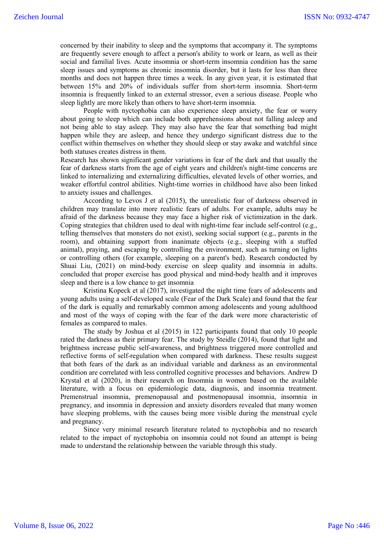concerned by their inability to sleep and the symptoms that accompany it. The symptoms are frequently severe enough to affect a person's ability to work or learn, as well as their social and familial lives. Acute insomnia or short-term insomnia condition has the same sleep issues and symptoms as chronic insomnia disorder, but it lasts for less than three months and does not happen three times a week. In any given year, it is estimated that between 15% and 20% of individuals suffer from short-term insomnia. Short-term insomnia is frequently linked to an external stressor, even a serious disease. People who sleep lightly are more likely than others to have short-term insomnia.

People with nyctophobia can also experience sleep anxiety, the fear or worry about going to sleep which can include both apprehensions about not falling asleep and not being able to stay asleep. They may also have the fear that something bad might happen while they are asleep, and hence they undergo significant distress due to the conflict within themselves on whether they should sleep or stay awake and watchful since both statuses creates distress in them.

Research has shown significant gender variations in fear of the dark and that usually the fear of darkness starts from the age of eight years and children's night-time concerns are linked to internalizing and externalizing difficulties, elevated levels of other worries, and weaker effortful control abilities. Night-time worries in childhood have also been linked to anxiety issues and challenges.

According to Levos J et al (2015), the unrealistic fear of darkness observed in children may translate into more realistic fears of adults. For example, adults may be afraid of the darkness because they may face a higher risk of victimization in the dark. Coping strategies that children used to deal with night-time fear include self-control (e.g., telling themselves that monsters do not exist), seeking social support (e.g., parents in the room), and obtaining support from inanimate objects (e.g., sleeping with a stuffed animal), praying, and escaping by controlling the environment, such as turning on lights or controlling others (for example, sleeping on a parent's bed). Research conducted by Shuai Liu, (2021) on mind-body exercise on sleep quality and insomnia in adults. concluded that proper exercise has good physical and mind-body health and it improves sleep and there is a low chance to get insomnia

Kristina Kopeck et al (2017), investigated the night time fears of adolescents and young adults using a self-developed scale (Fear of the Dark Scale) and found that the fear of the dark is equally and remarkably common among adolescents and young adulthood and most of the ways of coping with the fear of the dark were more characteristic of females as compared to males.

The study by Joshua et al (2015) in 122 participants found that only 10 people rated the darkness as their primary fear. The study by Steidle (2014), found that light and brightness increase public self-awareness, and brightness triggered more controlled and reflective forms of self-regulation when compared with darkness. These results suggest that both fears of the dark as an individual variable and darkness as an environmental condition are correlated with less controlled cognitive processes and behaviors. Andrew D Krystal et al (2020), in their research on Insomnia in women based on the available literature, with a focus on epidemiologic data, diagnosis, and insomnia treatment. Premenstrual insomnia, premenopausal and postmenopausal insomnia, insomnia in pregnancy, and insomnia in depression and anxiety disorders revealed that many women have sleeping problems, with the causes being more visible during the menstrual cycle and pregnancy.

Since very minimal research literature related to nyctophobia and no research related to the impact of nyctophobia on insomnia could not found an attempt is being made to understand the relationship between the variable through this study.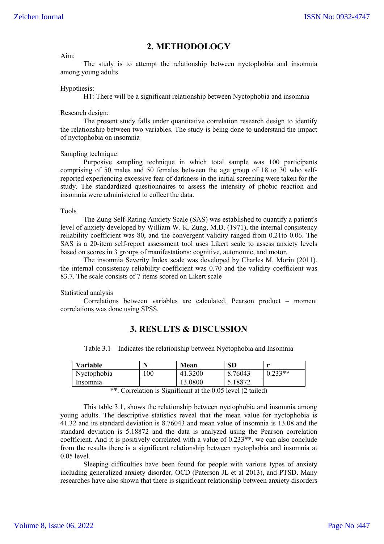## **2. METHODOLOGY**

#### Aim:

The study is to attempt the relationship between nyctophobia and insomnia among young adults

#### Hypothesis:

H1: There will be a significant relationship between Nyctophobia and insomnia

#### Research design:

The present study falls under quantitative correlation research design to identify the relationship between two variables. The study is being done to understand the impact of nyctophobia on insomnia

#### Sampling technique:

Purposive sampling technique in which total sample was 100 participants comprising of 50 males and 50 females between the age group of 18 to 30 who selfreported experiencing excessive fear of darkness in the initial screening were taken for the study. The standardized questionnaires to assess the intensity of phobic reaction and insomnia were administered to collect the data.

#### Tools

The Zung Self-Rating Anxiety Scale (SAS) was established to quantify a patient's level of anxiety developed by William W. K. Zung, M.D. (1971), the internal consistency reliability coefficient was 80, and the convergent validity ranged from 0.21to 0.06. The SAS is a 20-item self-report assessment tool uses Likert scale to assess anxiety levels based on scores in 3 groups of manifestations: cognitive, autonomic, and motor.

The insomnia Severity Index scale was developed by Charles M. Morin (2011). the internal consistency reliability coefficient was 0.70 and the validity coefficient was 83.7. The scale consists of 7 items scored on Likert scale

Statistical analysis

Correlations between variables are calculated. Pearson product – moment correlations was done using SPSS.

## **3. RESULTS & DISCUSSION**

| Table 3.1 – Indicates the relationship between Nyctophobia and Insomnia |
|-------------------------------------------------------------------------|
|-------------------------------------------------------------------------|

| <b>Variable</b> |     | Mean    | <b>SD</b> |           |
|-----------------|-----|---------|-----------|-----------|
| Nyctophobia     | .00 | 41.3200 | 8.76043   | $0.233**$ |
| Insomnia        |     | 13.0800 | 5.18872   |           |

\*\*. Correlation is Significant at the 0.05 level (2 tailed)

This table 3.1, shows the relationship between nyctophobia and insomnia among young adults. The descriptive statistics reveal that the mean value for nyctophobia is 41.32 and its standard deviation is 8.76043 and mean value of insomnia is 13.08 and the standard deviation is 5.18872 and the data is analyzed using the Pearson correlation coefficient. And it is positively correlated with a value of 0.233\*\*. we can also conclude from the results there is a significant relationship between nyctophobia and insomnia at 0.05 level.

Sleeping difficulties have been found for people with various types of anxiety including generalized anxiety disorder, OCD (Paterson JL et al 2013), and PTSD. Many researches have also shown that there is significant relationship between anxiety disorders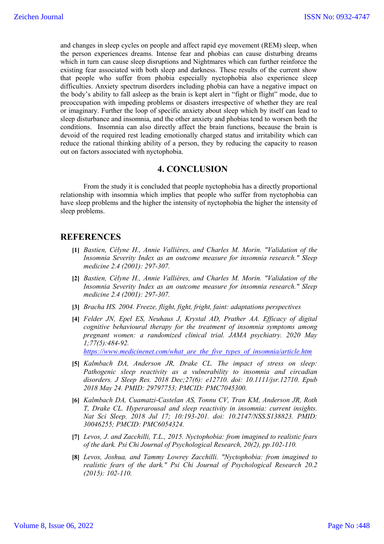and changes in sleep cycles on people and affect rapid eye movement (REM) sleep, when the person experiences dreams. Intense fear and phobias can cause disturbing dreams which in turn can cause sleep disruptions and Nightmares which can further reinforce the existing fear associated with both sleep and darkness. These results of the current show that people who suffer from phobia especially nyctophobia also experience sleep difficulties. Anxiety spectrum disorders including phobia can have a negative impact on the body's ability to fall asleep as the brain is kept alert in "fight or flight" mode, due to preoccupation with impeding problems or disasters irrespective of whether they are real or imaginary. Further the loop of specific anxiety about sleep which by itself can lead to sleep disturbance and insomnia, and the other anxiety and phobias tend to worsen both the conditions. Insomnia can also directly affect the brain functions, because the brain is devoid of the required rest leading emotionally charged status and irritability which can reduce the rational thinking ability of a person, they by reducing the capacity to reason out on factors associated with nyctophobia.

## **4. CONCLUSION**

From the study it is concluded that people nyctophobia has a directly proportional relationship with insomnia which implies that people who suffer from nyctophobia can have sleep problems and the higher the intensity of nyctophobia the higher the intensity of sleep problems.

## **REFERENCES**

- **[1]** *Bastien, Célyne H., Annie Vallières, and Charles M. Morin. "Validation of the Insomnia Severity Index as an outcome measure for insomnia research." Sleep medicine 2.4 (2001): 297-307.*
- **[2]** *Bastien, Célyne H., Annie Vallières, and Charles M. Morin. "Validation of the Insomnia Severity Index as an outcome measure for insomnia research." Sleep medicine 2.4 (2001): 297-307.*
- **[3]** *Bracha HS. 2004. Freeze, flight, fight, fright, faint: adaptations perspectives*
- **[4]** *Felder JN, Epel ES, Neuhaus J, Krystal AD, Prather AA. Efficacy of digital cognitive behavioural therapy for the treatment of insomnia symptoms among pregnant women: a randomized clinical trial. JAMA psychiatry. 2020 May 1;77(5):484-92. https://www.medicinenet.com/what\_are\_the\_five\_types\_of\_insomnia/article.htm*
- **[5]** *Kalmbach DA, Anderson JR, Drake CL. The impact of stress on sleep: Pathogenic sleep reactivity as a vulnerability to insomnia and circadian disorders. J Sleep Res. 2018 Dec;27(6): e12710. doi: 10.1111/jsr.12710. Epub 2018 May 24. PMID: 29797753; PMCID: PMC7045300.*
- **[6]** *Kalmbach DA, Cuamatzi-Castelan AS, Tonnu CV, Tran KM, Anderson JR, Roth T, Drake CL. Hyperarousal and sleep reactivity in insomnia: current insights. Nat Sci Sleep. 2018 Jul 17; 10:193-201. doi: 10.2147/NSS.S138823. PMID: 30046255; PMCID: PMC6054324.*
- **[7]** *Levos, J. and Zacchilli, T.L., 2015. Nyctophobia: from imagined to realistic fears of the dark. Psi Chi Journal of Psychological Research, 20(2), pp.102-110.*
- **[8]** *Levos, Joshua, and Tammy Lowrey Zacchilli. "Nyctophobia: from imagined to realistic fears of the dark." Psi Chi Journal of Psychological Research 20.2 (2015): 102-110.*